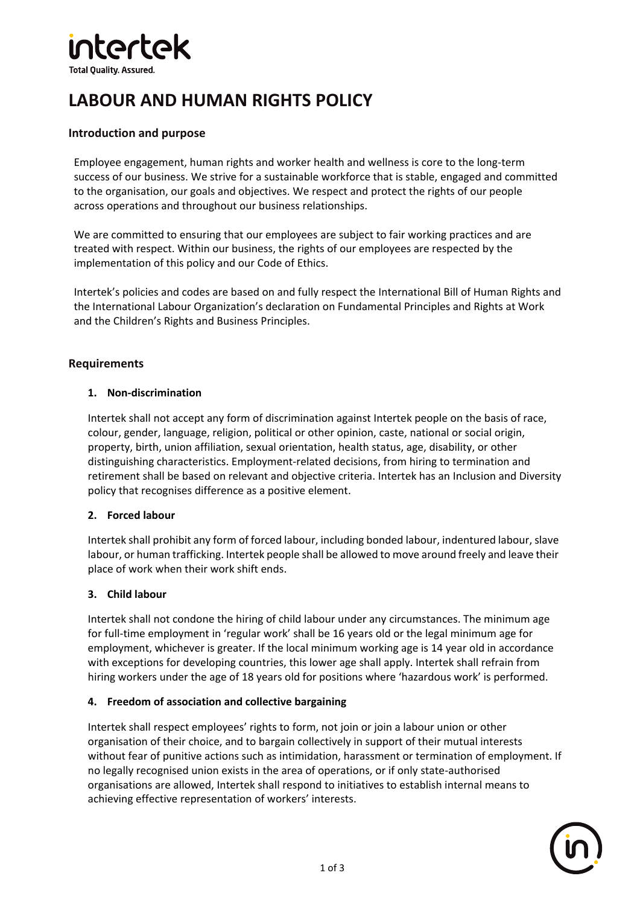# **ntertek**

**Total Ouality, Assured.** 

# **LABOUR AND HUMAN RIGHTS POLICY**

# **Introduction and purpose**

Employee engagement, human rights and worker health and wellness is core to the long-term success of our business. We strive for a sustainable workforce that is stable, engaged and committed to the organisation, our goals and objectives. We respect and protect the rights of our people across operations and throughout our business relationships.

We are committed to ensuring that our employees are subject to fair working practices and are treated with respect. Within our business, the rights of our employees are respected by the implementation of this policy and our Code of Ethics.

Intertek's policies and codes are based on and fully respect the International Bill of Human Rights and the International Labour Organization's declaration on Fundamental Principles and Rights at Work and the Children's Rights and Business Principles.

# **Requirements**

#### **1. Non-discrimination**

Intertek shall not accept any form of discrimination against Intertek people on the basis of race, colour, gender, language, religion, political or other opinion, caste, national or social origin, property, birth, union affiliation, sexual orientation, health status, age, disability, or other distinguishing characteristics. Employment-related decisions, from hiring to termination and retirement shall be based on relevant and objective criteria. Intertek has an [Inclusion](https://intranet.intertek.com/Functions/HR/_Files/Group-HR-Framework/HR-Policy-Framework---Inclusion---Diversity/) and Diversity policy that recognises difference as a positive element.

# **2. Forced labour**

Intertek shall prohibit any form of forced labour, including bonded labour, indentured labour, slave labour, or human trafficking. Intertek people shall be allowed to move around freely and leave their place of work when their work shift ends.

#### **3. Child labour**

Intertek shall not condone the hiring of child labour under any circumstances. The minimum age for full-time employment in 'regular work' shall be 16 years old or the legal minimum age for employment, whichever is greater. If the local minimum working age is 14 year old in accordance with exceptions for developing countries, this lower age shall apply. Intertek shall refrain from hiring workers under the age of 18 years old for positions where 'hazardous work' is performed.

#### **4. Freedom of association and collective bargaining**

Intertek shall respect employees' rights to form, not join or join a labour union or other organisation of their choice, and to bargain collectively in support of their mutual interests without fear of punitive actions such as intimidation, harassment or termination of employment. If no legally recognised union exists in the area of operations, or if only state-authorised organisations are allowed, Intertek shall respond to initiatives to establish internal means to achieving effective representation of workers' interests.

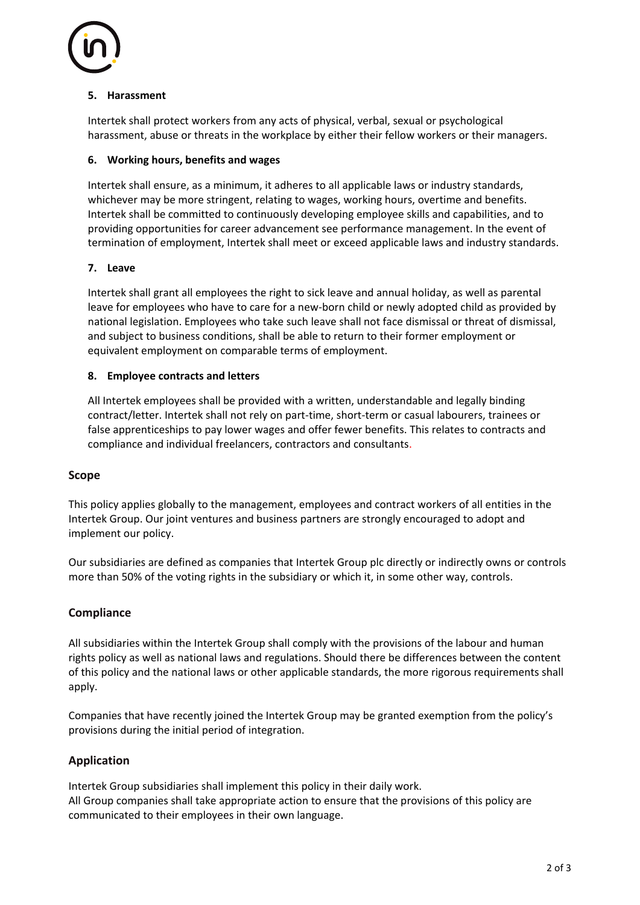

#### **5. Harassment**

Intertek shall protect workers from any acts of physical, verbal, sexual or psychological harassment, abuse or threats in the workplace by either their fellow workers or their managers.

#### **6. Working hours, benefits and wages**

Intertek shall ensure, as a minimum, it adheres to all applicable laws or industry standards, whichever may be more stringent, relating to wages, working hours, overtime and benefits. Intertek shall be committed to continuously developing employee skills and capabilities, and to providing opportunities for career advancement see [performance management.](https://intranet.intertek.com/Functions/HR/Group-HR-Framework/Performance-Management/Group-HR-Framework---Performance-Management/) In the event of termination of employment, Intertek shall meet or exceed applicable laws and industry standards.

#### **7. Leave**

Intertek shall grant all employees the right to sick leave and annual holiday, as well as parental leave for employees who have to care for a new-born child or newly adopted child as provided by national legislation. Employees who take such leave shall not face dismissal or threat of dismissal, and subject to business conditions, shall be able to return to their former employment or equivalent employment on comparable terms of employment.

#### **8. Employee contracts and letters**

All Intertek employees shall be provided with a written, understandable and legally binding contract/letter. Intertek shall not rely on part-time, short-term or casual labourers, trainees or false apprenticeships to pay lower wages and offer fewer benefits. This relates to contracts and compliance and individual freelancers, contractors and consultants.

#### **Scope**

This policy applies globally to the management, employees and contract workers of all entities in the Intertek Group. Our joint ventures and business partners are strongly encouraged to adopt and implement our policy.

Our subsidiaries are defined as companies that Intertek Group plc directly or indirectly owns or controls more than 50% of the voting rights in the subsidiary or which it, in some other way, controls.

# **Compliance**

All subsidiaries within the Intertek Group shall comply with the provisions of the labour and human rights policy as well as national laws and regulations. Should there be differences between the content of this policy and the national laws or other applicable standards, the more rigorous requirements shall apply.

Companies that have recently joined the Intertek Group may be granted exemption from the policy's provisions during the initial period of integration.

# **Application**

Intertek Group subsidiaries shall implement this policy in their daily work. All Group companies shall take appropriate action to ensure that the provisions of this policy are communicated to their employees in their own language.